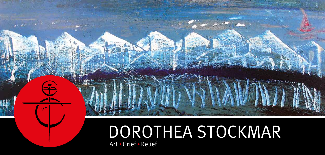## DOROTHEA STOCKMAR Art • Grief • Relief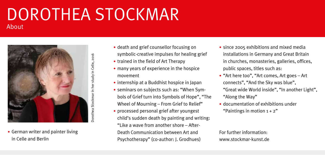#### DOROTHEA STOCKMAR About



• German writer and painter living in Celle and Berlin

- death and grief counsellor focusing on symbolic-creative impulses for healing grief
- trained in the field of Art Therapy
- many years of experience in the hospice movement
- internship at a Buddhist hospice in Japan
- seminars on subjects such as: "When Symbols of Grief turn into Symbols of Hope", "The Wheel of Mourning – From Grief to Relief"
- processed personal grief after youngest child's sudden death by painting and writing: "Like a wave from another shore – After-Death Communication between Art and Psychotherapy" (co-author: J. Grodhues)
- since 2005 exhibitions and mixed media installations in Germany and Great Britain in churches, monasteries, galleries, offices, public spaces, titles such as:
- "Art here too", "Art comes, Art goes Art connects", "And the Sky was blue", "Great wide World inside", "In another Light", "Along the Way"
- documentation of exhibitions under "Paintings in motion  $1 + 2$ "

#### For further information: www.stockmar-kunst.de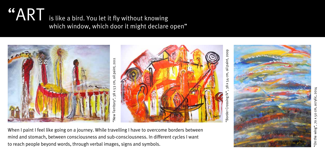### "ART is like a bird. You let it fly without knowing which window, which door it might declare open"



When I paint I feel like going on a journey. While travelling I have to overcome borders between mind and stomach, between consciousness and sub-consciousness. In different cycles I want to reach people beyond words, through verbal images, signs and symbols.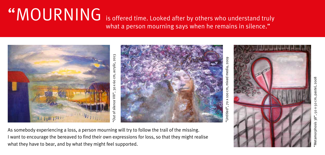#### $``\overline{\sf MOLRNING}$  is offered time. Looked after by others who understand truly what a person mourning says when he remains in silence."



As somebody experiencing a loss, a person mourning will try to follow the trail of the missing. I want to encourage the bereaved to find their own expressions for loss, so that they might realise what they have to bear, and by what they might feel supported.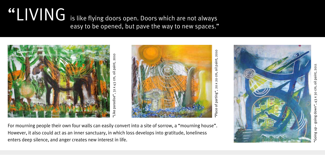### **"CIVING** is like flying doors open. Doors which are not always easy to be opened, but pave the way to new spaces."





2010 "Place of parting", 20 x 20 cm, oil paint, 2010paint,  $\overline{5}$ 20 cm,  $\times$  $\overline{0}$ parting",  $\mathsf{b}$ place



For mourning people their own four walls can easily convert into a site of sorrow, a "mourning house". However, it also could act as an inner sanctuary, in which loss develops into gratitude, loneliness enters deep silence, and anger creates new interest in life.